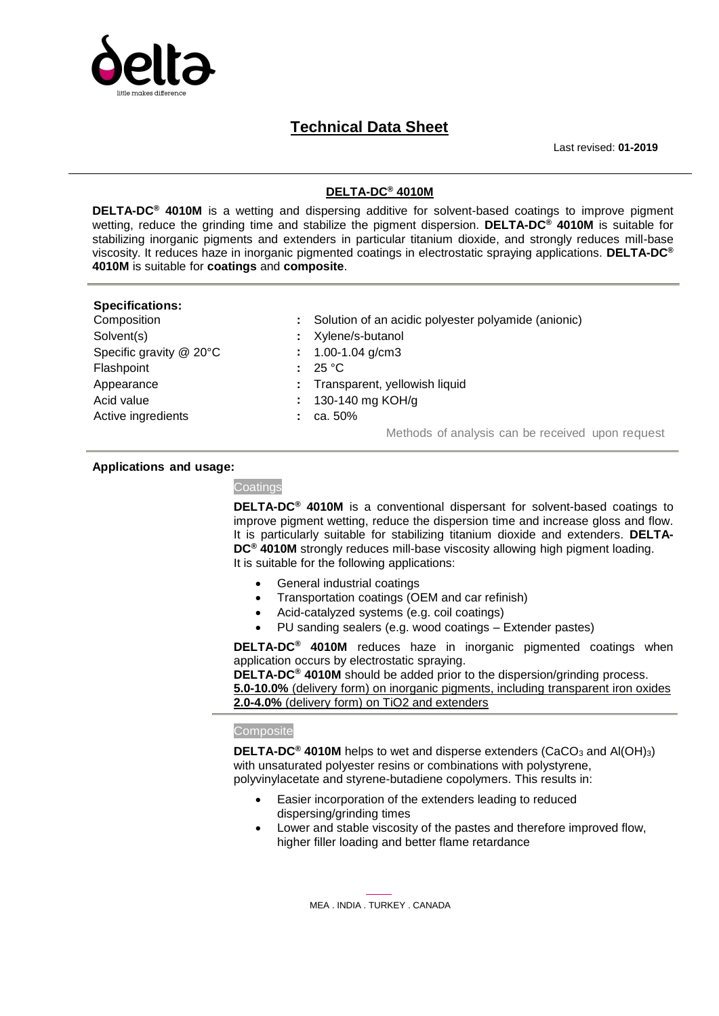

## **Technical Data Sheet**

Last revised: **01-2019**

### **DELTA-DC® 4010M**

**DELTA-DC® 4010M** is a wetting and dispersing additive for solvent-based coatings to improve pigment wetting, reduce the grinding time and stabilize the pigment dispersion. **DELTA-DC® 4010M** is suitable for stabilizing inorganic pigments and extenders in particular titanium dioxide, and strongly reduces mill-base viscosity. It reduces haze in inorganic pigmented coatings in electrostatic spraying applications. **DELTA-DC® 4010M** is suitable for **coatings** and **composite**.

# **Specifications:**

- Solvent(s) **:** Xylene/s-butanol Specific gravity @ 20°C **:** 1.00-1.04 g/cm3 Flashpoint **:** 25 °C Acid value **:** 130-140 mg KOH/g Active ingredients **:** ca. 50%
- : Solution of an acidic polyester polyamide (anionic)
	-
	-
	-
- Appearance **:** Transparent, yellowish liquid
	-
	-

Methods of analysis can be received upon request

#### **Applications and usage:**

**Coatings** 

**DELTA-DC® 4010M** is a conventional dispersant for solvent-based coatings to improve pigment wetting, reduce the dispersion time and increase gloss and flow. It is particularly suitable for stabilizing titanium dioxide and extenders. **DELTA-DC® 4010M** strongly reduces mill-base viscosity allowing high pigment loading. It is suitable for the following applications:

- General industrial coatings
- Transportation coatings (OEM and car refinish)
- Acid-catalyzed systems (e.g. coil coatings)
- PU sanding sealers (e.g. wood coatings Extender pastes)

**DELTA-DC® 4010M** reduces haze in inorganic pigmented coatings when application occurs by electrostatic spraying.

**DELTA-DC® 4010M** should be added prior to the dispersion/grinding process. **5.0-10.0%** (delivery form) on inorganic pigments, including transparent iron oxides **2.0-4.0%** (delivery form) on TiO2 and extenders

#### **Composite**

**DELTA-DC® 4010M** helps to wet and disperse extenders (CaCO<sup>3</sup> and Al(OH)3) with unsaturated polyester resins or combinations with polystyrene, polyvinylacetate and styrene-butadiene copolymers. This results in:

- Easier incorporation of the extenders leading to reduced dispersing/grinding times
- Lower and stable viscosity of the pastes and therefore improved flow, higher filler loading and better flame retardance